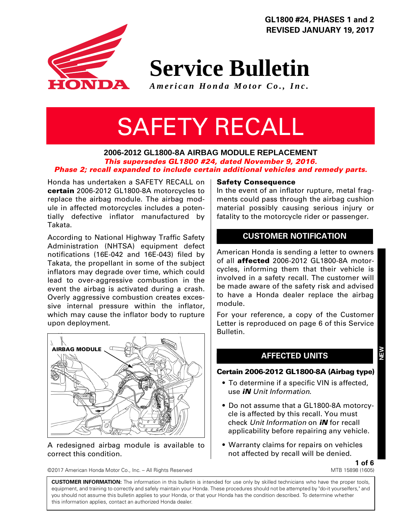

**Service Bulletin**

*American Honda Motor Co., Inc.*

# SAFETY RECALL

#### **2006-2012 GL1800-8A AIRBAG MODULE REPLACEMENT** *This supersedes GL1800 #24, dated November 9, 2016. Phase 2; recall expanded to include certain additional vehicles and remedy parts.*

Honda has undertaken a SAFETY RECALL on **certain** 2006-2012 GL1800-8A motorcycles to replace the airbag module. The airbag module in affected motorcycles includes a potentially defective inflator manufactured by Takata.

According to National Highway Traffic Safety Administration (NHTSA) equipment defect notifications (16E-042 and 16E-043) filed by Takata, the propellant in some of the subject inflators may degrade over time, which could lead to over-aggressive combustion in the event the airbag is activated during a crash. Overly aggressive combustion creates excessive internal pressure within the inflator, which may cause the inflator body to rupture upon deployment.



#### A redesigned airbag module is available to correct this condition.

©2017 American Honda Motor Co., Inc. – All Rights Reserved

#### **Safety Consequence**

In the event of an inflator rupture, metal fragments could pass through the airbag cushion material possibly causing serious injury or fatality to the motorcycle rider or passenger.

## **CUSTOMER NOTIFICATION**

American Honda is sending a letter to owners of all **affected** 2006-2012 GL1800-8A motorcycles, informing them that their vehicle is involved in a safety recall. The customer will be made aware of the safety risk and advised to have a Honda dealer replace the airbag module.

For your reference, a copy of the Customer Letter is reproduced on page 6 of this Service Bulletin.

## **AFFECTED UNITS**

#### **Certain 2006-2012 GL1800-8A (Airbag type)**

- To determine if a specific VIN is affected, use *iN Unit Information*.
- Do not assume that a GL1800-8A motorcycle is affected by this recall. You must check *Unit Information* on *iN* for recall applicability before repairing any vehicle.
- Warranty claims for repairs on vehicles not affected by recall will be denied.

**1 of 6** MTB 15898 (1605)

**CUSTOMER INFORMATION:** The information in this bulletin is intended for use only by skilled technicians who have the proper tools, equipment, and training to correctly and safely maintain your Honda. These procedures should not be attempted by "do-it yourselfers," and you should not assume this bulletin applies to your Honda, or that your Honda has the condition described. To determine whether this information applies, contact an authorized Honda dealer.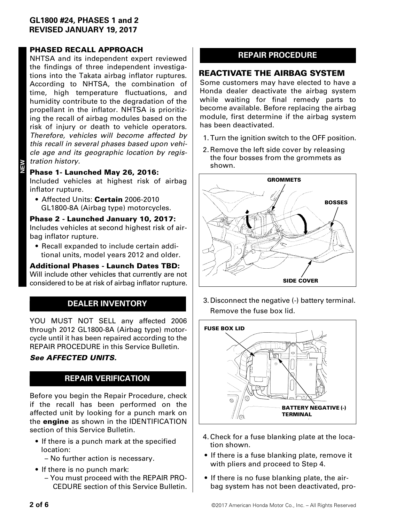#### **PHASED RECALL APPROACH**

NHTSA and its independent expert reviewed the findings of three independent investigations into the Takata airbag inflator ruptures. According to NHTSA, the combination of time, high temperature fluctuations, and humidity contribute to the degradation of the propellant in the inflator. NHTSA is prioritizing the recall of airbag modules based on the risk of injury or death to vehicle operators. *Therefore, vehicles will become affected by this recall in several phases based upon vehicle age and its geographic location by registration history.*

#### **Phase 1- Launched May 26, 2016:**

ME<br>⊞

Included vehicles at highest risk of airbag inflator rupture.

• Affected Units: **Certain** 2006-2010 GL1800-8A (Airbag type) motorcycles.

**Phase 2 - Launched January 10, 2017:** Includes vehicles at second highest risk of airbag inflator rupture.

• Recall expanded to include certain additional units, model years 2012 and older.

#### **Additional Phases - Launch Dates TBD:** Will include other vehicles that currently are not considered to be at risk of airbag inflator rupture.

## **DEALER INVENTORY**

YOU MUST NOT SELL any affected 2006 through 2012 GL1800-8A (Airbag type) motorcycle until it has been repaired according to the REPAIR PROCEDURE in this Service Bulletin.

## *See AFFECTED UNITS.*

## **REPAIR VERIFICATION**

Before you begin the Repair Procedure, check if the recall has been performed on the affected unit by looking for a punch mark on the **engine** as shown in the IDENTIFICATION section of this Service Bulletin.

- If there is a punch mark at the specified location:
	- No further action is necessary.
- If there is no punch mark:
	- You must proceed with the REPAIR PRO-CEDURE section of this Service Bulletin.

## **REPAIR PROCEDURE**

## **REACTIVATE THE AIRBAG SYSTEM**

Some customers may have elected to have a Honda dealer deactivate the airbag system while waiting for final remedy parts to become available. Before replacing the airbag module, first determine if the airbag system has been deactivated.

- 1.Turn the ignition switch to the OFF position.
- 2.Remove the left side cover by releasing the four bosses from the grommets as shown.



3.Disconnect the negative (-) battery terminal. Remove the fuse box lid.



- 4.Check for a fuse blanking plate at the location shown.
- If there is a fuse blanking plate, remove it with pliers and proceed to Step 4.
- If there is no fuse blanking plate, the airbag system has not been deactivated, pro-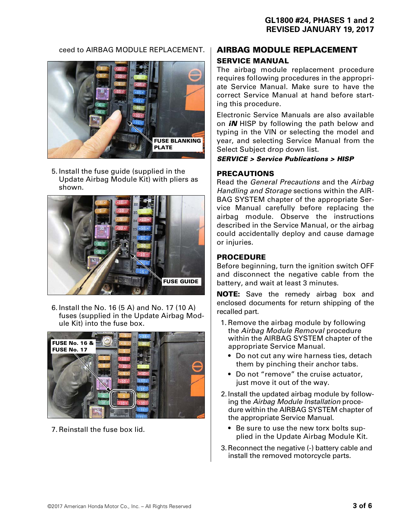#### ceed to AIRBAG MODULE REPLACEMENT.



5.Install the fuse guide (supplied in the Update Airbag Module Kit) with pliers as shown.



6.Install the No. 16 (5 A) and No. 17 (10 A) fuses (supplied in the Update Airbag Module Kit) into the fuse box.



7.Reinstall the fuse box lid.

## **AIRBAG MODULE REPLACEMENT SERVICE MANUAL**

The airbag module replacement procedure requires following procedures in the appropriate Service Manual. Make sure to have the correct Service Manual at hand before starting this procedure.

Electronic Service Manuals are also available on *iN* HISP by following the path below and typing in the VIN or selecting the model and year, and selecting Service Manual from the Select Subject drop down list.

#### *SERVICE > Service Publications > HISP*

#### **PRECAUTIONS**

Read the *General Precautions* and the *Airbag Handling and Storage* sections within the AIR-BAG SYSTEM chapter of the appropriate Service Manual carefully before replacing the airbag module. Observe the instructions described in the Service Manual, or the airbag could accidentally deploy and cause damage or injuries.

#### **PROCEDURE**

Before beginning, turn the ignition switch OFF and disconnect the negative cable from the battery, and wait at least 3 minutes.

**NOTE:** Save the remedy airbag box and enclosed documents for return shipping of the recalled part.

- 1.Remove the airbag module by following the *Airbag Module Removal* procedure within the AIRBAG SYSTEM chapter of the appropriate Service Manual.
	- Do not cut any wire harness ties, detach them by pinching their anchor tabs.
	- Do not "remove" the cruise actuator, just move it out of the way.
- 2.Install the updated airbag module by following the *Airbag Module Installation* procedure within the AIRBAG SYSTEM chapter of the appropriate Service Manual.
	- Be sure to use the new torx bolts supplied in the Update Airbag Module Kit.
- 3.Reconnect the negative (-) battery cable and install the removed motorcycle parts.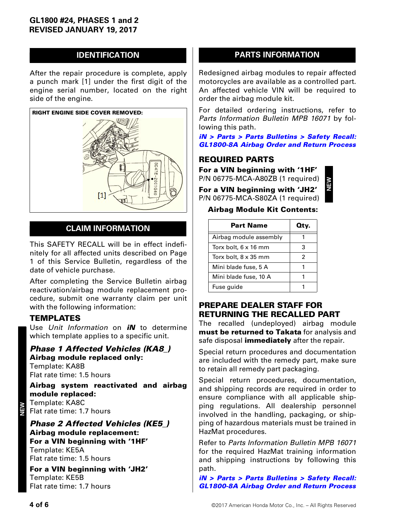## **IDENTIFICATION**

After the repair procedure is complete, apply a punch mark [1] under the first digit of the engine serial number, located on the right side of the engine.



## **CLAIM INFORMATION**

This SAFETY RECALL will be in effect indefinitely for all affected units described on Page 1 of this Service Bulletin, regardless of the date of vehicle purchase.

After completing the Service Bulletin airbag reactivation/airbag module replacement procedure, submit one warranty claim per unit with the following information:

#### **TEMPLATES**

Use *Unit Information* on *iN* to determine which template applies to a specific unit.

*Phase 1 Affected Vehicles (KA8\_)* **Airbag module replaced only:** Template: KA8B Flat rate time: 1.5 hours

**Airbag system reactivated and airbag module replaced:** Template: KA8C Flat rate time: 1.7 hours

*Phase 2 Affected Vehicles (KE5\_)* **Airbag module replacement: For a VIN beginning with '1HF'** Template: KE5A Flat rate time: 1.5 hours

**For a VIN beginning with 'JH2'** Template: KE5B Flat rate time: 1.7 hours

## **PARTS INFORMATION**

Redesigned airbag modules to repair affected motorcycles are available as a controlled part. An affected vehicle VIN will be required to order the airbag module kit.

For detailed ordering instructions, refer to *Parts Information Bulletin MPB 16071* by following this path.

*[iN > Parts > Parts Bulletins > Safety Recall:](http://www.in.honda.com/RRAMDCTM/Content/MAP/MP05/ml.remap05a.mpb_16071_gl1800_airbag_return_process_parts_information_bulletin_web.pdf) GL1800-8A Airbag Order and Return Process*

## **REQUIRED PARTS**

**For a VIN beginning with '1HF'**  P/N 06775-MCA-A80ZB (1 required)

**For a VIN beginning with 'JH2'** 



P/N 06775-MCA-S80ZA (1 required) **Airbag Module Kit Contents:**

| Part Name              | Qtv. |
|------------------------|------|
| Airbag module assembly |      |
| Torx bolt, 6 x 16 mm   | З    |
| Torx bolt, 8 x 35 mm   | 2    |
| Mini blade fuse, 5 A   |      |
| Mini blade fuse, 10 A  |      |
| Fuse guide             |      |

## **PREPARE DEALER STAFF FOR RETURNING THE RECALLED PART**

The recalled (undeployed) airbag module **must be returned to Takata** for analysis and safe disposal **immediately** after the repair.

Special return procedures and documentation are included with the remedy part, make sure to retain all remedy part packaging.

Special return procedures, documentation, and shipping records are required in order to ensure compliance with all applicable shipping regulations. All dealership personnel involved in the handling, packaging, or shipping of hazardous materials must be trained in HazMat procedures.

Refer to *Parts Information Bulletin MPB 16071* for the required HazMat training information and shipping instructions by following this path.

*[iN > Parts > Parts Bulletins > Safety Recall:](http://www.in.honda.com/RRAMDCTM/Content/MAP/MP05/ml.remap05a.mpb_16071_gl1800_airbag_return_process_parts_information_bulletin_web.pdf) GL1800-8A Airbag Order and Return Process*

**NEW**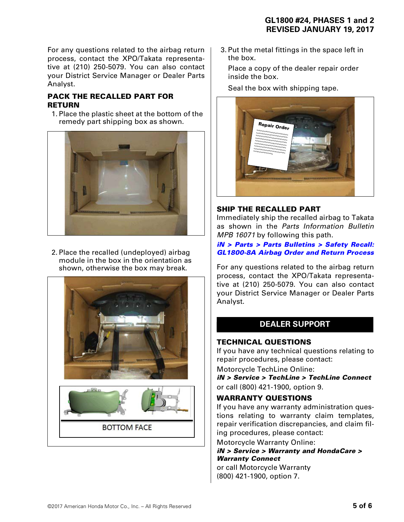For any questions related to the airbag return process, contact the XPO/Takata representative at (210) 250-5079. You can also contact your District Service Manager or Dealer Parts Analyst.

## **PACK THE RECALLED PART FOR RETURN**

1.Place the plastic sheet at the bottom of the remedy part shipping box as shown.



2.Place the recalled (undeployed) airbag module in the box in the orientation as shown, otherwise the box may break.



3.Put the metal fittings in the space left in the box.

Place a copy of the dealer repair order inside the box.

Seal the box with shipping tape.



## **SHIP THE RECALLED PART**

Immediately ship the recalled airbag to Takata as shown in the *Parts Information Bulletin MPB 16071* by following this path.

#### *[iN > Parts > Parts Bulletins > Safety Recall:](http://www.in.honda.com/RRAMDCTM/Content/MAP/MP05/ml.remap05a.mpb_16071_gl1800_airbag_return_process_parts_information_bulletin_web.pdf) GL1800-8A Airbag Order and Return Process*

For any questions related to the airbag return process, contact the XPO/Takata representative at (210) 250-5079. You can also contact your District Service Manager or Dealer Parts Analyst.

## **DEALER SUPPORT**

## **TECHNICAL QUESTIONS**

If you have any technical questions relating to repair procedures, please contact:

Motorcycle TechLine Online:

*iN > Service > TechLine > TechLine Connect* or call (800) 421-1900, option 9.

## **WARRANTY QUESTIONS**

If you have any warranty administration questions relating to warranty claim templates, repair verification discrepancies, and claim filing procedures, please contact:

Motorcycle Warranty Online:

#### *iN > Service > Warranty and HondaCare > Warranty Connect*

or call Motorcycle Warranty (800) 421-1900, option 7.